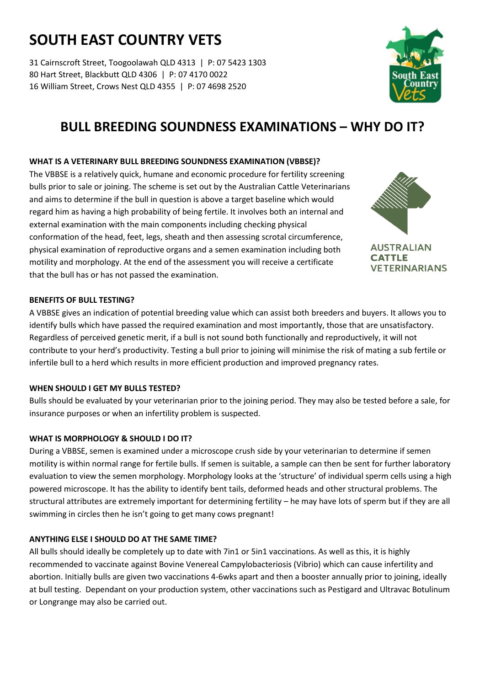# **SOUTH EAST COUNTRY VETS**

31 Cairnscroft Street, Toogoolawah QLD 4313 | P: 07 5423 1303 80 Hart Street, Blackbutt QLD 4306 | P: 07 4170 0022 16 William Street, Crows Nest QLD 4355 | P: 07 4698 2520



## **BULL BREEDING SOUNDNESS EXAMINATIONS – WHY DO IT?**

### **WHAT IS A VETERINARY BULL BREEDING SOUNDNESS EXAMINATION (VBBSE)?**

The VBBSE is a relatively quick, humane and economic procedure for fertility screening bulls prior to sale or joining. The scheme is set out by the Australian Cattle Veterinarians and aims to determine if the bull in question is above a target baseline which would regard him as having a high probability of being fertile. It involves both an internal and external examination with the main components including checking physical conformation of the head, feet, legs, sheath and then assessing scrotal circumference, physical examination of reproductive organs and a semen examination including both motility and morphology. At the end of the assessment you will receive a certificate that the bull has or has not passed the examination.



**AUSTRALIAN CATTLE VETERINARIANS** 

#### **BENEFITS OF BULL TESTING?**

A VBBSE gives an indication of potential breeding value which can assist both breeders and buyers. It allows you to identify bulls which have passed the required examination and most importantly, those that are unsatisfactory. Regardless of perceived genetic merit, if a bull is not sound both functionally and reproductively, it will not contribute to your herd's productivity. Testing a bull prior to joining will minimise the risk of mating a sub fertile or infertile bull to a herd which results in more efficient production and improved pregnancy rates.

#### **WHEN SHOULD I GET MY BULLS TESTED?**

Bulls should be evaluated by your veterinarian prior to the joining period. They may also be tested before a sale, for insurance purposes or when an infertility problem is suspected.

#### **WHAT IS MORPHOLOGY & SHOULD I DO IT?**

During a VBBSE, semen is examined under a microscope crush side by your veterinarian to determine if semen motility is within normal range for fertile bulls. If semen is suitable, a sample can then be sent for further laboratory evaluation to view the semen morphology. Morphology looks at the 'structure' of individual sperm cells using a high powered microscope. It has the ability to identify bent tails, deformed heads and other structural problems. The structural attributes are extremely important for determining fertility – he may have lots of sperm but if they are all swimming in circles then he isn't going to get many cows pregnant!

#### **ANYTHING ELSE I SHOULD DO AT THE SAME TIME?**

All bulls should ideally be completely up to date with 7in1 or 5in1 vaccinations. As well as this, it is highly recommended to vaccinate against Bovine Venereal Campylobacteriosis (Vibrio) which can cause infertility and abortion. Initially bulls are given two vaccinations 4-6wks apart and then a booster annually prior to joining, ideally at bull testing. Dependant on your production system, other vaccinations such as Pestigard and Ultravac Botulinum or Longrange may also be carried out.